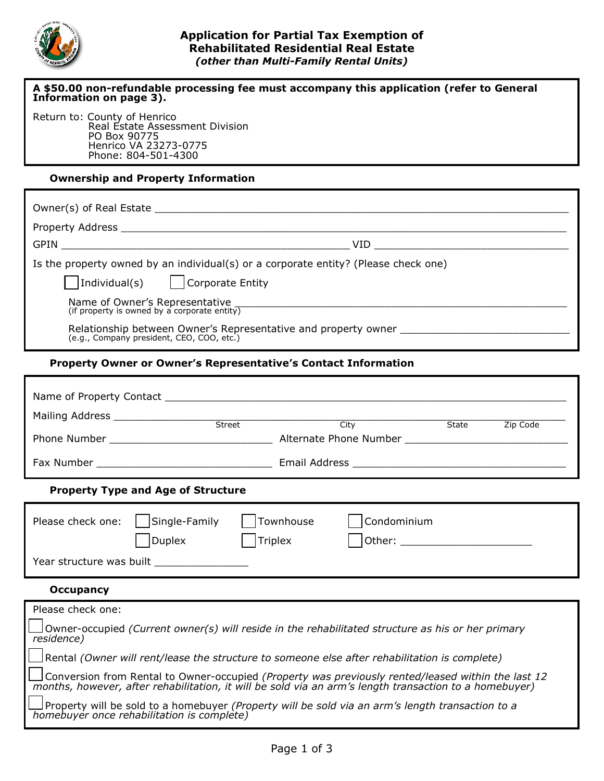

# **Application for Partial Tax Exemption of Rehabilitated Residential Real Estate** *(other than Multi-Family Rental Units)*

| A \$50.00 non-refundable processing fee must accompany this application (refer to General<br>Information on page 3).                                                                                      |  |  |  |  |
|-----------------------------------------------------------------------------------------------------------------------------------------------------------------------------------------------------------|--|--|--|--|
| Return to: County of Henrico<br>Real Estate Assessment Division                                                                                                                                           |  |  |  |  |
| PO Box 90775                                                                                                                                                                                              |  |  |  |  |
| Henrico VA 23273-0775<br>Phone: 804-501-4300                                                                                                                                                              |  |  |  |  |
| <b>Ownership and Property Information</b>                                                                                                                                                                 |  |  |  |  |
|                                                                                                                                                                                                           |  |  |  |  |
|                                                                                                                                                                                                           |  |  |  |  |
|                                                                                                                                                                                                           |  |  |  |  |
| Is the property owned by an individual(s) or a corporate entity? (Please check one)                                                                                                                       |  |  |  |  |
| $\vert$ $\vert$ Individual(s)<br>$\vert$   Corporate Entity                                                                                                                                               |  |  |  |  |
| Name of Owner's Representative<br>(if property is owned by a corporate entity)                                                                                                                            |  |  |  |  |
| Relationship between Owner's Representative and property owner<br>(e.g., Company president, CEO, COO, etc.)                                                                                               |  |  |  |  |
| <b>Property Owner or Owner's Representative's Contact Information</b>                                                                                                                                     |  |  |  |  |
|                                                                                                                                                                                                           |  |  |  |  |
|                                                                                                                                                                                                           |  |  |  |  |
| City State Zip Code                                                                                                                                                                                       |  |  |  |  |
|                                                                                                                                                                                                           |  |  |  |  |
|                                                                                                                                                                                                           |  |  |  |  |
| <b>Property Type and Age of Structure</b>                                                                                                                                                                 |  |  |  |  |
| Single-Family<br>Condominium<br>Please check one:<br>Townhouse                                                                                                                                            |  |  |  |  |
| <b>Duplex</b><br><b>Triplex</b>                                                                                                                                                                           |  |  |  |  |
|                                                                                                                                                                                                           |  |  |  |  |
| Year structure was built <b>Next Assets</b>                                                                                                                                                               |  |  |  |  |
| <b>Occupancy</b>                                                                                                                                                                                          |  |  |  |  |
| Please check one:                                                                                                                                                                                         |  |  |  |  |
| Owner-occupied (Current owner(s) will reside in the rehabilitated structure as his or her primary<br>residence)                                                                                           |  |  |  |  |
| Rental (Owner will rent/lease the structure to someone else after rehabilitation is complete)                                                                                                             |  |  |  |  |
| Conversion from Rental to Owner-occupied (Property was previously rented/leased within the last 12 months, however, after rehabilitation, it will be sold via an arm's length transaction to a homebuyer) |  |  |  |  |

 Property will be sold to a homebuyer *(Property will be sold via an arm's length transaction to a homebuyer once rehabilitation is complete)*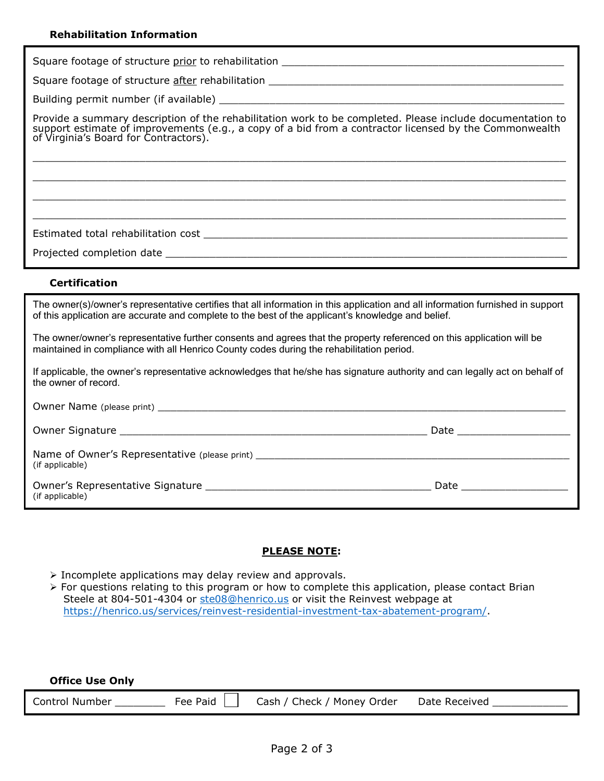#### **Rehabilitation Information**

| Square footage of structure prior to rehabilitation |  |
|-----------------------------------------------------|--|
| Square footage of structure after rehabilitation    |  |
| Building permit number (if available)               |  |

Provide a summary description of the rehabilitation work to be completed. Please include documentation to support estimate of improvements (e.g., a copy of a bid from a contractor licensed by the Commonwealth of Virginia's Board for Contractors).

 $\_$  , and the set of the set of the set of the set of the set of the set of the set of the set of the set of the set of the set of the set of the set of the set of the set of the set of the set of the set of the set of th  $\_$  , and the set of the set of the set of the set of the set of the set of the set of the set of the set of the set of the set of the set of the set of the set of the set of the set of the set of the set of the set of th  $\_$  , and the set of the set of the set of the set of the set of the set of the set of the set of the set of the set of the set of the set of the set of the set of the set of the set of the set of the set of the set of th  $\_$  , and the set of the set of the set of the set of the set of the set of the set of the set of the set of the set of the set of the set of the set of the set of the set of the set of the set of the set of the set of th

Estimated total rehabilitation cost \_\_\_\_\_\_\_\_\_\_\_\_\_\_\_\_\_\_\_\_\_\_\_\_\_\_\_\_\_\_\_\_\_\_\_\_\_\_\_\_\_\_\_\_\_\_\_\_\_\_\_\_\_\_\_\_\_\_

### **Certification**

**Office Use Only**

The owner(s)/owner's representative certifies that all information in this application and all information furnished in support of this application are accurate and complete to the best of the applicant's knowledge and belief.

The owner/owner's representative further consents and agrees that the property referenced on this application will be maintained in compliance with all Henrico County codes during the rehabilitation period.

If applicable, the owner's representative acknowledges that he/she has signature authority and can legally act on behalf of the owner of record.

|                                                                                                     | Date and the contract of the contract of the contract of the contract of the contract of the contract of the contract of the contract of the contract of the contract of the contract of the contract of the contract of the c |
|-----------------------------------------------------------------------------------------------------|--------------------------------------------------------------------------------------------------------------------------------------------------------------------------------------------------------------------------------|
| Name of Owner's Representative (please print) __________________________________<br>(if applicable) |                                                                                                                                                                                                                                |
| Owner's Representative Signature<br>(if applicable)                                                 | Date                                                                                                                                                                                                                           |

### **PLEASE NOTE:**

- $\triangleright$  Incomplete applications may delay review and approvals.
- $\triangleright$  For questions relating to this program or how to complete this application, please contact Brian Steele at 804-501-4304 or [ste08@henrico.us](mailto:ste08@henrico.us) or visit the Reinvest webpage at [https://henrico.us/services/reinvest-residential-investment-tax-abatement-program/.](https://henrico.us/services/reinvest-residential-investment-tax-abatement-program/)

| <b>OTTLE OPE OILLY</b> |          |                            |               |
|------------------------|----------|----------------------------|---------------|
| <b>Control Number</b>  | Fee Paid | Cash / Check / Money Order | Date Received |